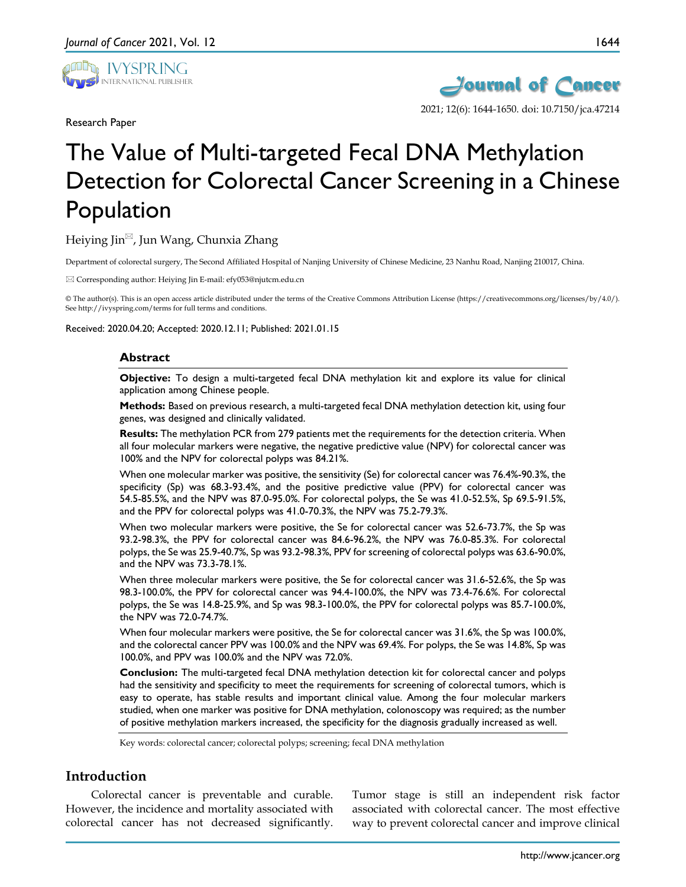

Research Paper



# The Value of Multi-targeted Fecal DNA Methylation Detection for Colorectal Cancer Screening in a Chinese Population

## Heiying Jin $^{\boxtimes}$ , Jun Wang, Chunxia Zhang

Department of colorectal surgery, The Second Affiliated Hospital of Nanjing University of Chinese Medicine, 23 Nanhu Road, Nanjing 210017, China.

Corresponding author: Heiying Jin E-mail: efy053@njutcm.edu.cn

© The author(s). This is an open access article distributed under the terms of the Creative Commons Attribution License (https://creativecommons.org/licenses/by/4.0/). See http://ivyspring.com/terms for full terms and conditions.

Received: 2020.04.20; Accepted: 2020.12.11; Published: 2021.01.15

#### **Abstract**

**Objective:** To design a multi-targeted fecal DNA methylation kit and explore its value for clinical application among Chinese people.

**Methods:** Based on previous research, a multi-targeted fecal DNA methylation detection kit, using four genes, was designed and clinically validated.

**Results:** The methylation PCR from 279 patients met the requirements for the detection criteria. When all four molecular markers were negative, the negative predictive value (NPV) for colorectal cancer was 100% and the NPV for colorectal polyps was 84.21%.

When one molecular marker was positive, the sensitivity (Se) for colorectal cancer was 76.4%-90.3%, the specificity (Sp) was 68.3-93.4%, and the positive predictive value (PPV) for colorectal cancer was 54.5-85.5%, and the NPV was 87.0-95.0%. For colorectal polyps, the Se was 41.0-52.5%, Sp 69.5-91.5%, and the PPV for colorectal polyps was 41.0-70.3%, the NPV was 75.2-79.3%.

When two molecular markers were positive, the Se for colorectal cancer was 52.6-73.7%, the Sp was 93.2-98.3%, the PPV for colorectal cancer was 84.6-96.2%, the NPV was 76.0-85.3%. For colorectal polyps, the Se was 25.9-40.7%, Sp was 93.2-98.3%, PPV for screening of colorectal polyps was 63.6-90.0%, and the NPV was 73.3-78.1%.

When three molecular markers were positive, the Se for colorectal cancer was 31.6-52.6%, the Sp was 98.3-100.0%, the PPV for colorectal cancer was 94.4-100.0%, the NPV was 73.4-76.6%. For colorectal polyps, the Se was 14.8-25.9%, and Sp was 98.3-100.0%, the PPV for colorectal polyps was 85.7-100.0%, the NPV was 72.0-74.7%.

When four molecular markers were positive, the Se for colorectal cancer was 31.6%, the Sp was 100.0%, and the colorectal cancer PPV was 100.0% and the NPV was 69.4%. For polyps, the Se was 14.8%, Sp was 100.0%, and PPV was 100.0% and the NPV was 72.0%.

**Conclusion:** The multi-targeted fecal DNA methylation detection kit for colorectal cancer and polyps had the sensitivity and specificity to meet the requirements for screening of colorectal tumors, which is easy to operate, has stable results and important clinical value. Among the four molecular markers studied, when one marker was positive for DNA methylation, colonoscopy was required; as the number of positive methylation markers increased, the specificity for the diagnosis gradually increased as well.

Key words: colorectal cancer; colorectal polyps; screening; fecal DNA methylation

#### **Introduction**

Colorectal cancer is preventable and curable. However, the incidence and mortality associated with colorectal cancer has not decreased significantly.

Tumor stage is still an independent risk factor associated with colorectal cancer. The most effective way to prevent colorectal cancer and improve clinical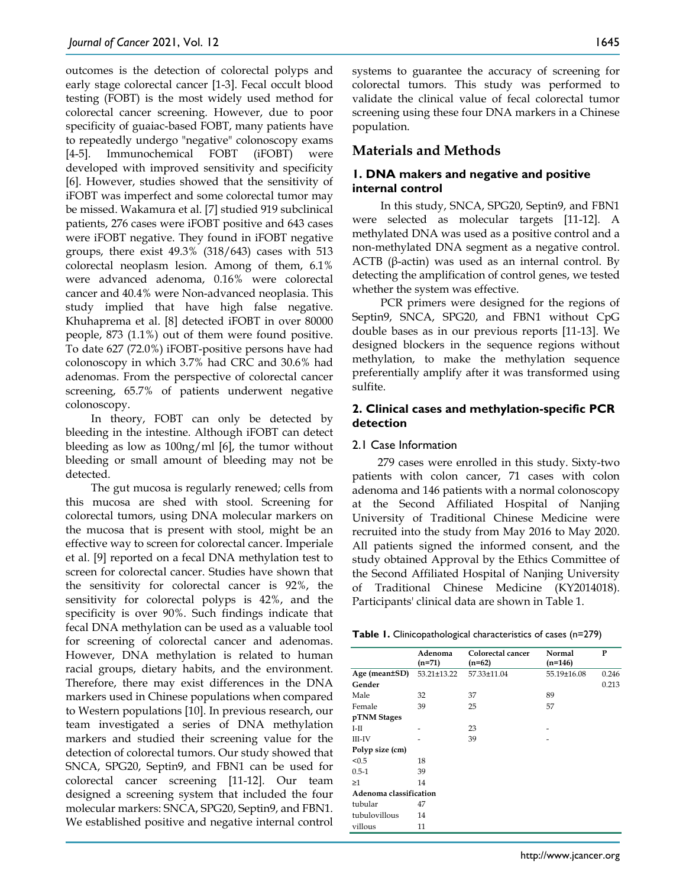outcomes is the detection of colorectal polyps and early stage colorectal cancer [1-3]. Fecal occult blood testing (FOBT) is the most widely used method for colorectal cancer screening. However, due to poor specificity of guaiac-based FOBT, many patients have to repeatedly undergo "negative" colonoscopy exams [4-5]. Immunochemical FOBT (iFOBT) were developed with improved sensitivity and specificity [6]. However, studies showed that the sensitivity of iFOBT was imperfect and some colorectal tumor may be missed. Wakamura et al. [7] studied 919 subclinical patients, 276 cases were iFOBT positive and 643 cases were iFOBT negative. They found in iFOBT negative groups, there exist 49.3% (318/643) cases with 513 colorectal neoplasm lesion. Among of them, 6.1% were advanced adenoma, 0.16% were colorectal cancer and 40.4% were Non-advanced neoplasia. This study implied that have high false negative. Khuhaprema et al. [8] detected iFOBT in over 80000 people, 873 (1.1%) out of them were found positive. To date 627 (72.0%) iFOBT-positive persons have had colonoscopy in which 3.7% had CRC and 30.6% had adenomas. From the perspective of colorectal cancer screening, 65.7% of patients underwent negative colonoscopy.

In theory, FOBT can only be detected by bleeding in the intestine. Although iFOBT can detect bleeding as low as 100ng/ml [6], the tumor without bleeding or small amount of bleeding may not be detected.

The gut mucosa is regularly renewed; cells from this mucosa are shed with stool. Screening for colorectal tumors, using DNA molecular markers on the mucosa that is present with stool, might be an effective way to screen for colorectal cancer. Imperiale et al. [9] reported on a fecal DNA methylation test to screen for colorectal cancer. Studies have shown that the sensitivity for colorectal cancer is 92%, the sensitivity for colorectal polyps is 42%, and the specificity is over 90%. Such findings indicate that fecal DNA methylation can be used as a valuable tool for screening of colorectal cancer and adenomas. However, DNA methylation is related to human racial groups, dietary habits, and the environment. Therefore, there may exist differences in the DNA markers used in Chinese populations when compared to Western populations [10]. In previous research, our team investigated a series of DNA methylation markers and studied their screening value for the detection of colorectal tumors. Our study showed that SNCA, SPG20, Septin9, and FBN1 can be used for colorectal cancer screening [11-12]. Our team designed a screening system that included the four molecular markers: SNCA, SPG20, Septin9, and FBN1. We established positive and negative internal control

systems to guarantee the accuracy of screening for colorectal tumors. This study was performed to validate the clinical value of fecal colorectal tumor screening using these four DNA markers in a Chinese population.

## **Materials and Methods**

## **1. DNA makers and negative and positive internal control**

In this study, SNCA, SPG20, Septin9, and FBN1 were selected as molecular targets [11-12]. A methylated DNA was used as a positive control and a non-methylated DNA segment as a negative control. ACTB (β-actin) was used as an internal control. By detecting the amplification of control genes, we tested whether the system was effective.

PCR primers were designed for the regions of Septin9, SNCA, SPG20, and FBN1 without CpG double bases as in our previous reports [11-13]. We designed blockers in the sequence regions without methylation, to make the methylation sequence preferentially amplify after it was transformed using sulfite.

## **2. Clinical cases and methylation-specific PCR detection**

#### 2.1 Case Information

279 cases were enrolled in this study. Sixty-two patients with colon cancer, 71 cases with colon adenoma and 146 patients with a normal colonoscopy at the Second Affiliated Hospital of Nanjing University of Traditional Chinese Medicine were recruited into the study from May 2016 to May 2020. All patients signed the informed consent, and the study obtained Approval by the Ethics Committee of the Second Affiliated Hospital of Nanjing University of Traditional Chinese Medicine (KY2014018). Participants' clinical data are shown in Table 1.

|  |  | Table 1. Clinicopathological characteristics of cases (n=279) |  |  |  |  |  |  |
|--|--|---------------------------------------------------------------|--|--|--|--|--|--|
|--|--|---------------------------------------------------------------|--|--|--|--|--|--|

|                        | Adenoma     | Colorectal cancer | Normal      | P     |
|------------------------|-------------|-------------------|-------------|-------|
|                        | $(n=71)$    | $(n=62)$          | $(n=146)$   |       |
| Age (mean±SD)          | 53.21±13.22 | 57.33±11.04       | 55.19±16.08 | 0.246 |
| Gender                 |             |                   |             | 0.213 |
| Male                   | 32          | 37                | 89          |       |
| Female                 | 39          | 25                | 57          |       |
| pTNM Stages            |             |                   |             |       |
| I-II                   |             | 23                |             |       |
| III-IV                 |             | 39                |             |       |
| Polyp size (cm)        |             |                   |             |       |
| < 0.5                  | 18          |                   |             |       |
| $0.5 - 1$              | 39          |                   |             |       |
| $\geq$ 1               | 14          |                   |             |       |
| Adenoma classification |             |                   |             |       |
| tubular                | 47          |                   |             |       |
| tubulovillous          | 14          |                   |             |       |
| villous                | 11          |                   |             |       |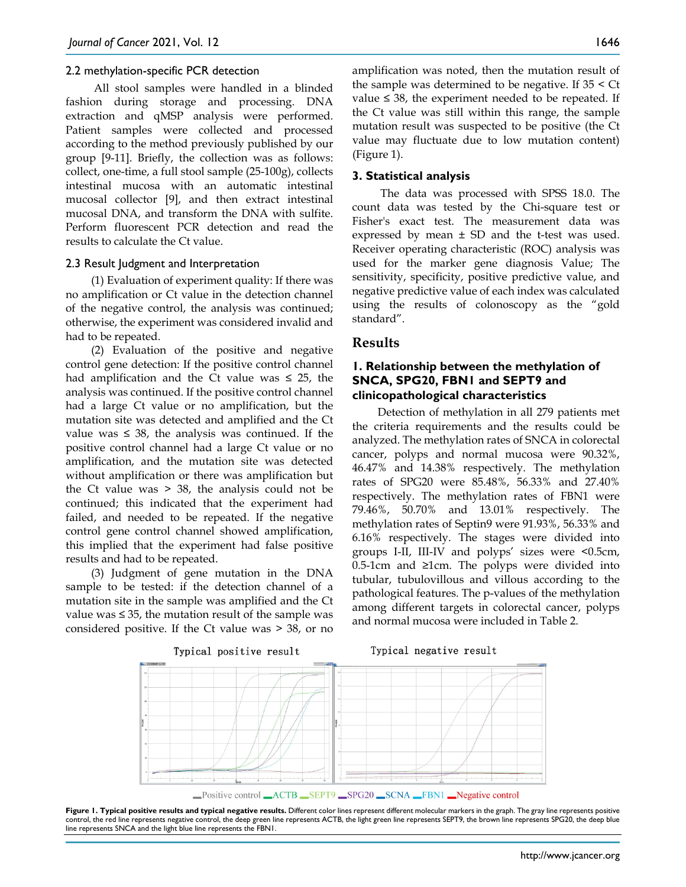#### 2.2 methylation-specific PCR detection

All stool samples were handled in a blinded fashion during storage and processing. DNA extraction and qMSP analysis were performed. Patient samples were collected and processed according to the method previously published by our group [9-11]. Briefly, the collection was as follows: collect, one-time, a full stool sample (25-100g), collects intestinal mucosa with an automatic intestinal mucosal collector [9], and then extract intestinal mucosal DNA, and transform the DNA with sulfite. Perform fluorescent PCR detection and read the results to calculate the Ct value.

#### 2.3 Result Judgment and Interpretation

(1) Evaluation of experiment quality: If there was no amplification or Ct value in the detection channel of the negative control, the analysis was continued; otherwise, the experiment was considered invalid and had to be repeated.

(2) Evaluation of the positive and negative control gene detection: If the positive control channel had amplification and the Ct value was  $\leq 25$ , the analysis was continued. If the positive control channel had a large Ct value or no amplification, but the mutation site was detected and amplified and the Ct value was ≤ 38, the analysis was continued. If the positive control channel had a large Ct value or no amplification, and the mutation site was detected without amplification or there was amplification but the Ct value was > 38, the analysis could not be continued; this indicated that the experiment had failed, and needed to be repeated. If the negative control gene control channel showed amplification, this implied that the experiment had false positive results and had to be repeated.

(3) Judgment of gene mutation in the DNA sample to be tested: if the detection channel of a mutation site in the sample was amplified and the Ct value was ≤ 35, the mutation result of the sample was considered positive. If the Ct value was > 38, or no

amplification was noted, then the mutation result of the sample was determined to be negative. If  $35 < Ct$ value ≤ 38, the experiment needed to be repeated. If the Ct value was still within this range, the sample mutation result was suspected to be positive (the Ct value may fluctuate due to low mutation content) (Figure 1).

#### **3. Statistical analysis**

The data was processed with SPSS 18.0. The count data was tested by the Chi-square test or Fisher's exact test. The measurement data was expressed by mean ± SD and the t-test was used. Receiver operating characteristic (ROC) analysis was used for the marker gene diagnosis Value; The sensitivity, specificity, positive predictive value, and negative predictive value of each index was calculated using the results of colonoscopy as the "gold standard".

#### **Results**

#### **1. Relationship between the methylation of SNCA, SPG20, FBN1 and SEPT9 and clinicopathological characteristics**

Detection of methylation in all 279 patients met the criteria requirements and the results could be analyzed. The methylation rates of SNCA in colorectal cancer, polyps and normal mucosa were 90.32%, 46.47% and 14.38% respectively. The methylation rates of SPG20 were 85.48%, 56.33% and 27.40% respectively. The methylation rates of FBN1 were 79.46%, 50.70% and 13.01% respectively. The methylation rates of Septin9 were 91.93%, 56.33% and 6.16% respectively. The stages were divided into groups I-II, III-IV and polyps' sizes were <0.5cm, 0.5-1cm and  $\geq 1$ cm. The polyps were divided into tubular, tubulovillous and villous according to the pathological features. The p-values of the methylation among different targets in colorectal cancer, polyps and normal mucosa were included in Table 2.



Figure 1. Typical positive results and typical negative results. Different color lines represent different molecular markers in the graph. The gray line represents positive control, the red line represents negative control, the deep green line represents ACTB, the light green line represents SEPT9, the brown line represents SPG20, the deep blue line represents SNCA and the light blue line represents the FBN1.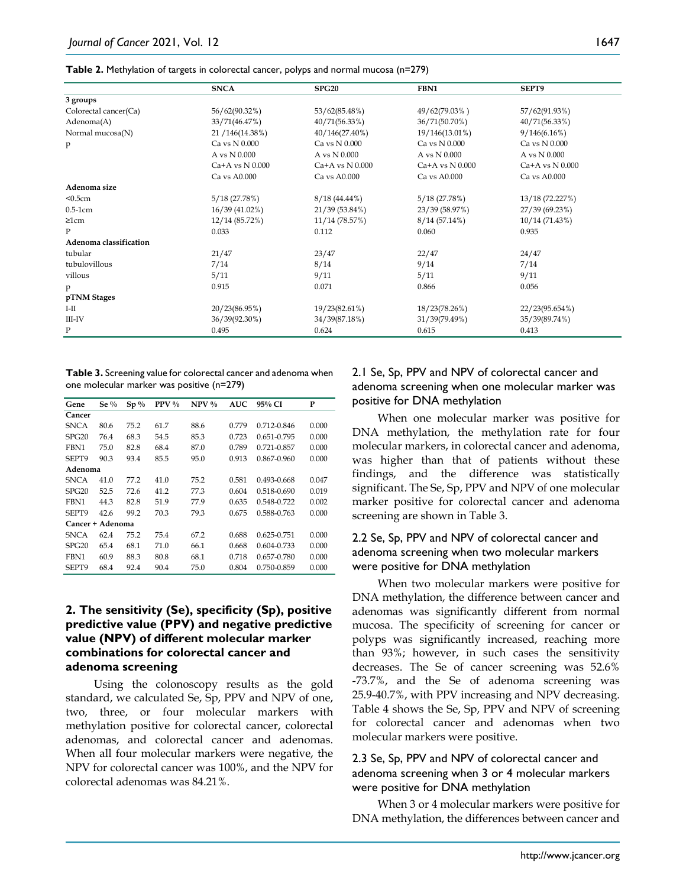|                        | <b>SNCA</b>         | <b>SPG20</b>        | FBN1                | SEPT9               |
|------------------------|---------------------|---------------------|---------------------|---------------------|
| 3 groups               |                     |                     |                     |                     |
| Colorectal cancer(Ca)  | 56/62(90.32%)       | 53/62(85.48%)       | 49/62(79.03%)       | 57/62(91.93%)       |
| Adenoma(A)             | 33/71(46.47%)       | 40/71(56.33%)       | 36/71(50.70%)       | 40/71(56.33%)       |
| Normal mucosa(N)       | 21 / 146 (14.38%)   | 40/146(27.40%)      | 19/146(13.01%)      | 9/146(6.16%)        |
| p                      | Ca vs N 0.000       | Ca vs N 0.000       | Ca vs N 0.000       | Ca vs N 0.000       |
|                        | A vs N 0.000        | A vs N 0.000        | A vs N 0.000        | A vs N 0.000        |
|                        | $Ca+A$ vs $N$ 0.000 | $Ca+A$ vs $N$ 0.000 | $Ca+A$ vs $N$ 0.000 | $Ca+A$ vs $N$ 0.000 |
|                        | Ca vs A0.000        | Ca vs A0.000        | Ca vs A0.000        | Ca vs A0.000        |
| Adenoma size           |                     |                     |                     |                     |
| < 0.5cm                | 5/18(27.78%)        | $8/18(44.44\%)$     | 5/18(27.78%)        | 13/18 (72.227%)     |
| $0.5-1cm$              | 16/39(41.02%)       | 21/39 (53.84%)      | 23/39 (58.97%)      | 27/39 (69.23%)      |
| 21cm                   | 12/14 (85.72%)      | 11/14 (78.57%)      | 8/14(57.14%)        | 10/14(71.43%)       |
| P                      | 0.033               | 0.112               | 0.060               | 0.935               |
| Adenoma classification |                     |                     |                     |                     |
| tubular                | 21/47               | 23/47               | 22/47               | 24/47               |
| tubulovillous          | 7/14                | 8/14                | 9/14                | 7/14                |
| villous                | 5/11                | 9/11                | 5/11                | 9/11                |
| p                      | 0.915               | 0.071               | 0.866               | 0.056               |
| pTNM Stages            |                     |                     |                     |                     |
| $I-II$                 | 20/23(86.95%)       | 19/23(82.61%)       | 18/23(78.26%)       | 22/23(95.654%)      |
| $III$ - $IV$           | 36/39(92.30%)       | 34/39(87.18%)       | 31/39(79.49%)       | 35/39(89.74%)       |
| P                      | 0.495               | 0.624               | 0.615               | 0.413               |

**Table 3.** Screening value for colorectal cancer and adenoma when one molecular marker was positive (n=279)

| Gene             | Se $\%$ | $Sp\%$ | $PPV\%$ | $NPV$ % | <b>AUC</b> | 95% CI          | P     |
|------------------|---------|--------|---------|---------|------------|-----------------|-------|
| Cancer           |         |        |         |         |            |                 |       |
| <b>SNCA</b>      | 80.6    | 75.2   | 61.7    | 88.6    | 0.779      | $0.712 - 0.846$ | 0.000 |
| SPG20            | 76.4    | 68.3   | 54.5    | 85.3    | 0.723      | 0.651-0.795     | 0.000 |
| FBN1             | 75.0    | 82.8   | 68.4    | 87.0    | 0.789      | $0.721 - 0.857$ | 0.000 |
| SEPT9            | 90.3    | 93.4   | 85.5    | 95.0    | 0.913      | $0.867 - 0.960$ | 0.000 |
| Adenoma          |         |        |         |         |            |                 |       |
| <b>SNCA</b>      | 41.0    | 77.2   | 41.0    | 75.2    | 0.581      | $0.493 - 0.668$ | 0.047 |
| SPG20            | 52.5    | 72.6   | 41.2    | 77.3    | 0.604      | 0.518-0.690     | 0.019 |
| FBN1             | 44.3    | 82.8   | 51.9    | 77.9    | 0.635      | 0.548-0.722     | 0.002 |
| SEPT9            | 42.6    | 99.2   | 70.3    | 79.3    | 0.675      | 0.588-0.763     | 0.000 |
| Cancer + Adenoma |         |        |         |         |            |                 |       |
| <b>SNCA</b>      | 62.4    | 75.2   | 75.4    | 67.2    | 0.688      | 0.625-0.751     | 0.000 |
| SPG20            | 65.4    | 68.1   | 71.0    | 66.1    | 0.668      | $0.604 - 0.733$ | 0.000 |
| FBN1             | 60.9    | 88.3   | 80.8    | 68.1    | 0.718      | 0.657-0.780     | 0.000 |
| SEPT9            | 68.4    | 92.4   | 90.4    | 75.0    | 0.804      | 0.750-0.859     | 0.000 |

## **2. The sensitivity (Se), specificity (Sp), positive predictive value (PPV) and negative predictive value (NPV) of different molecular marker combinations for colorectal cancer and adenoma screening**

Using the colonoscopy results as the gold standard, we calculated Se, Sp, PPV and NPV of one, two, three, or four molecular markers with methylation positive for colorectal cancer, colorectal adenomas, and colorectal cancer and adenomas. When all four molecular markers were negative, the NPV for colorectal cancer was 100%, and the NPV for colorectal adenomas was 84.21%.

## 2.1 Se, Sp, PPV and NPV of colorectal cancer and adenoma screening when one molecular marker was positive for DNA methylation

When one molecular marker was positive for DNA methylation, the methylation rate for four molecular markers, in colorectal cancer and adenoma, was higher than that of patients without these findings, and the difference was statistically significant. The Se, Sp, PPV and NPV of one molecular marker positive for colorectal cancer and adenoma screening are shown in Table 3.

## 2.2 Se, Sp, PPV and NPV of colorectal cancer and adenoma screening when two molecular markers were positive for DNA methylation

When two molecular markers were positive for DNA methylation, the difference between cancer and adenomas was significantly different from normal mucosa. The specificity of screening for cancer or polyps was significantly increased, reaching more than 93%; however, in such cases the sensitivity decreases. The Se of cancer screening was 52.6% -73.7%, and the Se of adenoma screening was 25.9-40.7%, with PPV increasing and NPV decreasing. Table 4 shows the Se, Sp, PPV and NPV of screening for colorectal cancer and adenomas when two molecular markers were positive.

#### 2.3 Se, Sp, PPV and NPV of colorectal cancer and adenoma screening when 3 or 4 molecular markers were positive for DNA methylation

When 3 or 4 molecular markers were positive for DNA methylation, the differences between cancer and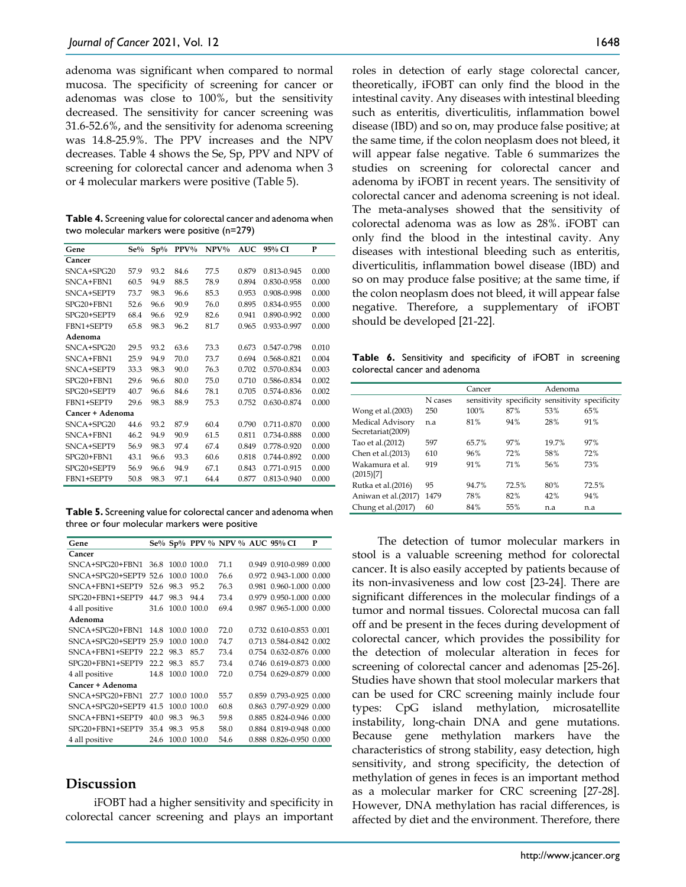adenoma was significant when compared to normal mucosa. The specificity of screening for cancer or adenomas was close to 100%, but the sensitivity decreased. The sensitivity for cancer screening was 31.6-52.6%, and the sensitivity for adenoma screening was 14.8-25.9%. The PPV increases and the NPV decreases. Table 4 shows the Se, Sp, PPV and NPV of screening for colorectal cancer and adenoma when 3 or 4 molecular markers were positive (Table 5).

**Table 4.** Screening value for colorectal cancer and adenoma when two molecular markers were positive (n=279)

| Gene             | $Se\%$ | $Sp\%$ | $PPV\%$ | $NPV\%$ | AUC   | 95% CI      | P     |
|------------------|--------|--------|---------|---------|-------|-------------|-------|
| Cancer           |        |        |         |         |       |             |       |
| $SNCA+SPG20$     | 57.9   | 93.2   | 84.6    | 77.5    | 0.879 | 0.813-0.945 | 0.000 |
| $SNCA+FBN1$      | 60.5   | 94.9   | 88.5    | 78.9    | 0.894 | 0.830-0.958 | 0.000 |
| SNCA+SEPT9       | 73.7   | 98.3   | 96.6    | 85.3    | 0.953 | 0.908-0.998 | 0.000 |
| $SPG20 + FBN1$   | 52.6   | 96.6   | 90.9    | 76.0    | 0.895 | 0.834-0.955 | 0.000 |
| SPG20+SEPT9      | 68.4   | 96.6   | 92.9    | 82.6    | 0.941 | 0.890-0.992 | 0.000 |
| FBN1+SEPT9       | 65.8   | 98.3   | 96.2    | 81.7    | 0.965 | 0.933-0.997 | 0.000 |
| Adenoma          |        |        |         |         |       |             |       |
| $SNCA+SPG20$     | 29.5   | 93.2   | 63.6    | 73.3    | 0.673 | 0.547-0.798 | 0.010 |
| $SNCA+FBN1$      | 25.9   | 94.9   | 70.0    | 73.7    | 0.694 | 0.568-0.821 | 0.004 |
| SNCA+SEPT9       | 33.3   | 98.3   | 90.0    | 76.3    | 0.702 | 0.570-0.834 | 0.003 |
| $SPG20 + FBN1$   | 29.6   | 96.6   | 80.0    | 75.0    | 0.710 | 0.586-0.834 | 0.002 |
| SPG20+SEPT9      | 40.7   | 96.6   | 84.6    | 78.1    | 0.705 | 0.574-0.836 | 0.002 |
| FBN1+SEPT9       | 29.6   | 98.3   | 88.9    | 75.3    | 0.752 | 0.630-0.874 | 0.000 |
| Cancer + Adenoma |        |        |         |         |       |             |       |
| $SNCA+SPG20$     | 44.6   | 93.2   | 87.9    | 60.4    | 0.790 | 0.711-0.870 | 0.000 |
| SNCA+FBN1        | 46.2   | 94.9   | 90.9    | 61.5    | 0.811 | 0.734-0.888 | 0.000 |
| SNCA+SEPT9       | 56.9   | 98.3   | 97.4    | 67.4    | 0.849 | 0.778-0.920 | 0.000 |
| $SPG20 + FBN1$   | 43.1   | 96.6   | 93.3    | 60.6    | 0.818 | 0.744-0.892 | 0.000 |
| SPG20+SEPT9      | 56.9   | 96.6   | 94.9    | 67.1    | 0.843 | 0.771-0.915 | 0.000 |
| FBN1+SEPT9       | 50.8   | 98.3   | 97.1    | 64.4    | 0.877 | 0.813-0.940 | 0.000 |

**Table 5.** Screening value for colorectal cancer and adenoma when three or four molecular markers were positive

| Gene                  |      |                  |      | Se% Sp% PPV % NPV % AUC 95% CI |                         | P |
|-----------------------|------|------------------|------|--------------------------------|-------------------------|---|
| Cancer                |      |                  |      |                                |                         |   |
| SNCA+SPG20+FBN1       |      | 36.8 100.0 100.0 |      | 71 1                           | 0.949 0.910-0.989 0.000 |   |
| SNCA+SPG20+SEPT9      | 52.6 | 100.0 100.0      |      | 76.6                           | 0.972 0.943-1.000 0.000 |   |
| SNCA+FBN1+SEPT9       | 52.6 | 98.3             | 95.2 | 76.3                           | 0.981 0.960-1.000 0.000 |   |
| SPG20+FBN1+SEPT9      | 447  | 98.3             | 94.4 | 73.4                           | 0.979 0.950-1.000 0.000 |   |
| 4 all positive        | 31.6 | 100.0 100.0      |      | 69.4                           | 0.987 0.965-1.000 0.000 |   |
| Adenoma               |      |                  |      |                                |                         |   |
| SNCA+SPG20+FBN1       | 14.8 | 100 0 100 0      |      | 72.0                           | 0.732 0.610-0.853 0.001 |   |
| SNCA+SPG20+SEPT9 25.9 |      | 1000             | 1000 | 74.7                           | 0.713 0.584-0.842 0.002 |   |
| SNCA+FBN1+SEPT9       | 22 Z | 98.3             | 85.7 | 73.4                           | 0.754 0.632-0.876 0.000 |   |
| SPG20+FBN1+SEPT9      | 22.2 | 98.3             | 85.7 | 73.4                           | 0.746 0.619-0.873 0.000 |   |
| 4 all positive        | 14.8 | 100.0 100.0      |      | 72.0                           | 0.754 0.629-0.879 0.000 |   |
| Cancer + Adenoma      |      |                  |      |                                |                         |   |
| SNCA+SPG20+FBN1       | 27.7 | 100.0 100.0      |      | 55.7                           | 0.859 0.793-0.925 0.000 |   |
| SNCA+SPG20+SEPT9      | 41.5 | 100.0            | 1000 | 60.8                           | 0.863 0.797-0.929 0.000 |   |
| SNCA+FBN1+SEPT9       | 40.0 | 98.3             | 96.3 | 59.8                           | 0.885 0.824-0.946 0.000 |   |
| SPG20+FBN1+SEPT9      | 35.4 | 98.3             | 95.8 | 58.0                           | 0.884 0.819-0.948 0.000 |   |
| 4 all positive        | 24.6 | 100.0 100.0      |      | 54.6                           | 0.888 0.826-0.950 0.000 |   |

#### **Discussion**

iFOBT had a higher sensitivity and specificity in colorectal cancer screening and plays an important roles in detection of early stage colorectal cancer, theoretically, iFOBT can only find the blood in the intestinal cavity. Any diseases with intestinal bleeding such as enteritis, diverticulitis, inflammation bowel disease (IBD) and so on, may produce false positive; at the same time, if the colon neoplasm does not bleed, it will appear false negative. Table 6 summarizes the studies on screening for colorectal cancer and adenoma by iFOBT in recent years. The sensitivity of colorectal cancer and adenoma screening is not ideal. The meta-analyses showed that the sensitivity of colorectal adenoma was as low as 28%. iFOBT can only find the blood in the intestinal cavity. Any diseases with intestional bleeding such as enteritis, diverticulitis, inflammation bowel disease (IBD) and so on may produce false positive; at the same time, if the colon neoplasm does not bleed, it will appear false negative. Therefore, a supplementary of iFOBT should be developed [21-22].

**Table 6.** Sensitivity and specificity of iFOBT in screening colorectal cancer and adenoma

|                                       |         | Cancer      |             | Adenoma                 |       |
|---------------------------------------|---------|-------------|-------------|-------------------------|-------|
|                                       | N cases | sensitivity | specificity | sensitivity specificity |       |
| Wong et al. (2003)                    | 250     | 100%        | 87%         | 53%                     | 65%   |
| Medical Advisory<br>Secretariat(2009) | n.a     | 81%         | 94%         | 28%                     | 91%   |
| Tao et al.(2012)                      | 597     | 65.7%       | 97%         | 19.7%                   | 97%   |
| Chen et al. (2013)                    | 610     | 96%         | 72%         | 58%                     | 72%   |
| Wakamura et al.<br>(2015)[7]          | 919     | 91%         | 71%         | .56%                    | 73%   |
| Rutka et al. (2016)                   | 95      | 94.7%       | 72.5%       | 80%                     | 72.5% |
| Aniwan et al.(2017)                   | 1479    | 78%         | 82%         | 42%                     | 94%   |
| Chung et al.(2017)                    | 60      | 84%         | 55%         | n.a                     | n.a   |

The detection of tumor molecular markers in stool is a valuable screening method for colorectal cancer. It is also easily accepted by patients because of its non-invasiveness and low cost [23-24]. There are significant differences in the molecular findings of a tumor and normal tissues. Colorectal mucosa can fall off and be present in the feces during development of colorectal cancer, which provides the possibility for the detection of molecular alteration in feces for screening of colorectal cancer and adenomas [25-26]. Studies have shown that stool molecular markers that can be used for CRC screening mainly include four types: CpG island methylation, microsatellite instability, long-chain DNA and gene mutations. Because gene methylation markers have the characteristics of strong stability, easy detection, high sensitivity, and strong specificity, the detection of methylation of genes in feces is an important method as a molecular marker for CRC screening [27-28]. However, DNA methylation has racial differences, is affected by diet and the environment. Therefore, there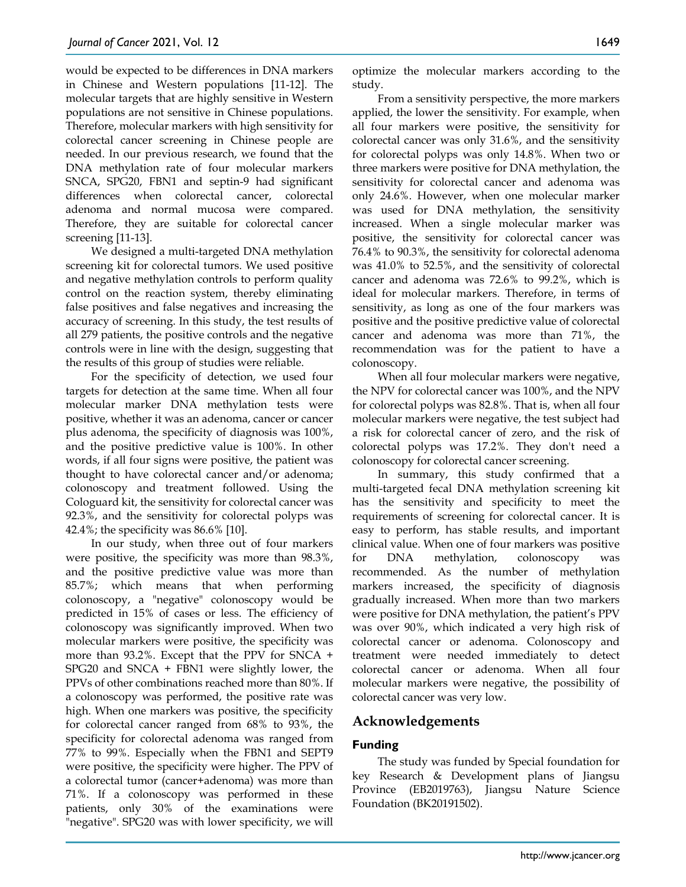would be expected to be differences in DNA markers in Chinese and Western populations [11-12]. The molecular targets that are highly sensitive in Western populations are not sensitive in Chinese populations. Therefore, molecular markers with high sensitivity for colorectal cancer screening in Chinese people are needed. In our previous research, we found that the DNA methylation rate of four molecular markers SNCA, SPG20, FBN1 and septin-9 had significant differences when colorectal cancer, colorectal adenoma and normal mucosa were compared. Therefore, they are suitable for colorectal cancer screening [11-13].

We designed a multi-targeted DNA methylation screening kit for colorectal tumors. We used positive and negative methylation controls to perform quality control on the reaction system, thereby eliminating false positives and false negatives and increasing the accuracy of screening. In this study, the test results of all 279 patients, the positive controls and the negative controls were in line with the design, suggesting that the results of this group of studies were reliable.

For the specificity of detection, we used four targets for detection at the same time. When all four molecular marker DNA methylation tests were positive, whether it was an adenoma, cancer or cancer plus adenoma, the specificity of diagnosis was 100%, and the positive predictive value is 100%. In other words, if all four signs were positive, the patient was thought to have colorectal cancer and/or adenoma; colonoscopy and treatment followed. Using the Cologuard kit, the sensitivity for colorectal cancer was 92.3%, and the sensitivity for colorectal polyps was 42.4%; the specificity was 86.6% [10].

In our study, when three out of four markers were positive, the specificity was more than 98.3%, and the positive predictive value was more than 85.7%; which means that when performing colonoscopy, a "negative" colonoscopy would be predicted in 15% of cases or less. The efficiency of colonoscopy was significantly improved. When two molecular markers were positive, the specificity was more than 93.2%. Except that the PPV for SNCA + SPG20 and SNCA + FBN1 were slightly lower, the PPVs of other combinations reached more than 80%. If a colonoscopy was performed, the positive rate was high. When one markers was positive, the specificity for colorectal cancer ranged from 68% to 93%, the specificity for colorectal adenoma was ranged from 77% to 99%. Especially when the FBN1 and SEPT9 were positive, the specificity were higher. The PPV of a colorectal tumor (cancer+adenoma) was more than 71%. If a colonoscopy was performed in these patients, only 30% of the examinations were "negative". SPG20 was with lower specificity, we will

optimize the molecular markers according to the study.

From a sensitivity perspective, the more markers applied, the lower the sensitivity. For example, when all four markers were positive, the sensitivity for colorectal cancer was only 31.6%, and the sensitivity for colorectal polyps was only 14.8%. When two or three markers were positive for DNA methylation, the sensitivity for colorectal cancer and adenoma was only 24.6%. However, when one molecular marker was used for DNA methylation, the sensitivity increased. When a single molecular marker was positive, the sensitivity for colorectal cancer was 76.4% to 90.3%, the sensitivity for colorectal adenoma was 41.0% to 52.5%, and the sensitivity of colorectal cancer and adenoma was 72.6% to 99.2%, which is ideal for molecular markers. Therefore, in terms of sensitivity, as long as one of the four markers was positive and the positive predictive value of colorectal cancer and adenoma was more than 71%, the recommendation was for the patient to have a colonoscopy.

When all four molecular markers were negative, the NPV for colorectal cancer was 100%, and the NPV for colorectal polyps was 82.8%. That is, when all four molecular markers were negative, the test subject had a risk for colorectal cancer of zero, and the risk of colorectal polyps was 17.2%. They don't need a colonoscopy for colorectal cancer screening.

In summary, this study confirmed that a multi-targeted fecal DNA methylation screening kit has the sensitivity and specificity to meet the requirements of screening for colorectal cancer. It is easy to perform, has stable results, and important clinical value. When one of four markers was positive for DNA methylation, colonoscopy was recommended. As the number of methylation markers increased, the specificity of diagnosis gradually increased. When more than two markers were positive for DNA methylation, the patient's PPV was over 90%, which indicated a very high risk of colorectal cancer or adenoma. Colonoscopy and treatment were needed immediately to detect colorectal cancer or adenoma. When all four molecular markers were negative, the possibility of colorectal cancer was very low.

# **Acknowledgements**

## **Funding**

The study was funded by Special foundation for key Research & Development plans of Jiangsu Province (EB2019763), Jiangsu Nature Science Foundation (BK20191502).